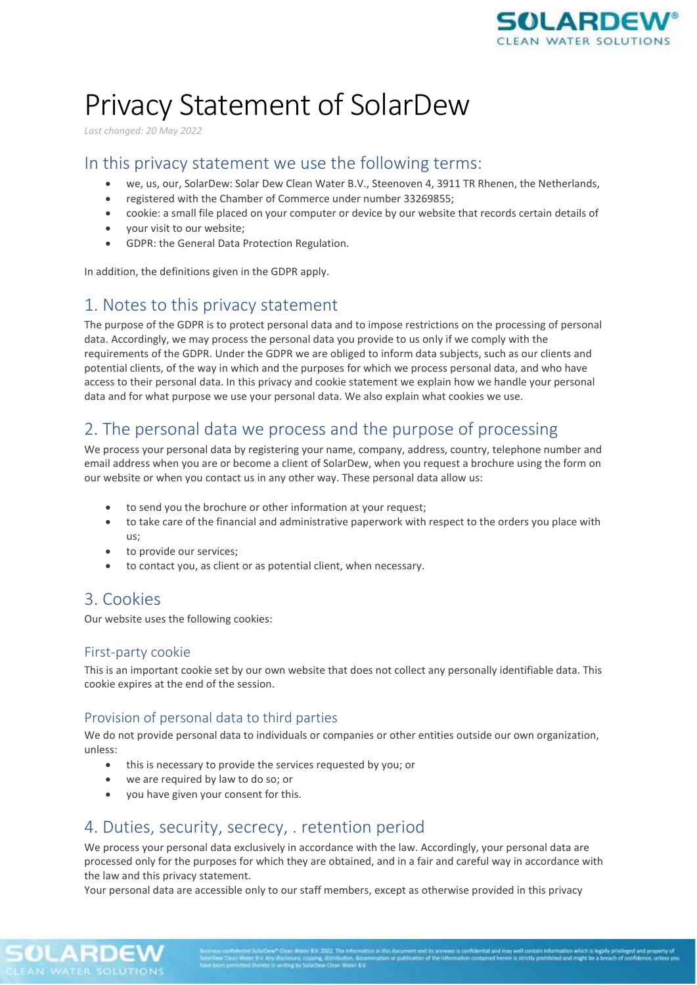

# Privacy Statement of SolarDew

*Last changed: 20 May 2022*

### In this privacy statement we use the following terms:

- we, us, our, SolarDew: Solar Dew Clean Water B.V., Steenoven 4, 3911 TR Rhenen, the Netherlands,
- registered with the Chamber of Commerce under number 33269855;
- cookie: a small file placed on your computer or device by our website that records certain details of
- your visit to our website;
- GDPR: the General Data Protection Regulation.

In addition, the definitions given in the GDPR apply.

# 1. Notes to this privacy statement

The purpose of the GDPR is to protect personal data and to impose restrictions on the processing of personal data. Accordingly, we may process the personal data you provide to us only if we comply with the requirements of the GDPR. Under the GDPR we are obliged to inform data subjects, such as our clients and potential clients, of the way in which and the purposes for which we process personal data, and who have access to their personal data. In this privacy and cookie statement we explain how we handle your personal data and for what purpose we use your personal data. We also explain what cookies we use.

## 2. The personal data we process and the purpose of processing

We process your personal data by registering your name, company, address, country, telephone number and email address when you are or become a client of SolarDew, when you request a brochure using the form on our website or when you contact us in any other way. These personal data allow us:

- to send you the brochure or other information at your request;
- to take care of the financial and administrative paperwork with respect to the orders you place with us;
- to provide our services;
- to contact you, as client or as potential client, when necessary.

## 3. Cookies

Our website uses the following cookies:

#### First-party cookie

This is an important cookie set by our own website that does not collect any personally identifiable data. This cookie expires at the end of the session.

#### Provision of personal data to third parties

We do not provide personal data to individuals or companies or other entities outside our own organization, unless:

- this is necessary to provide the services requested by you; or
- we are required by law to do so; or
- you have given your consent for this.

## 4. Duties, security, secrecy, . retention period

We process your personal data exclusively in accordance with the law. Accordingly, your personal data are processed only for the purposes for which they are obtained, and in a fair and careful way in accordance with the law and this privacy statement.

Your personal data are accessible only to our staff members, except as otherwise provided in this privacy